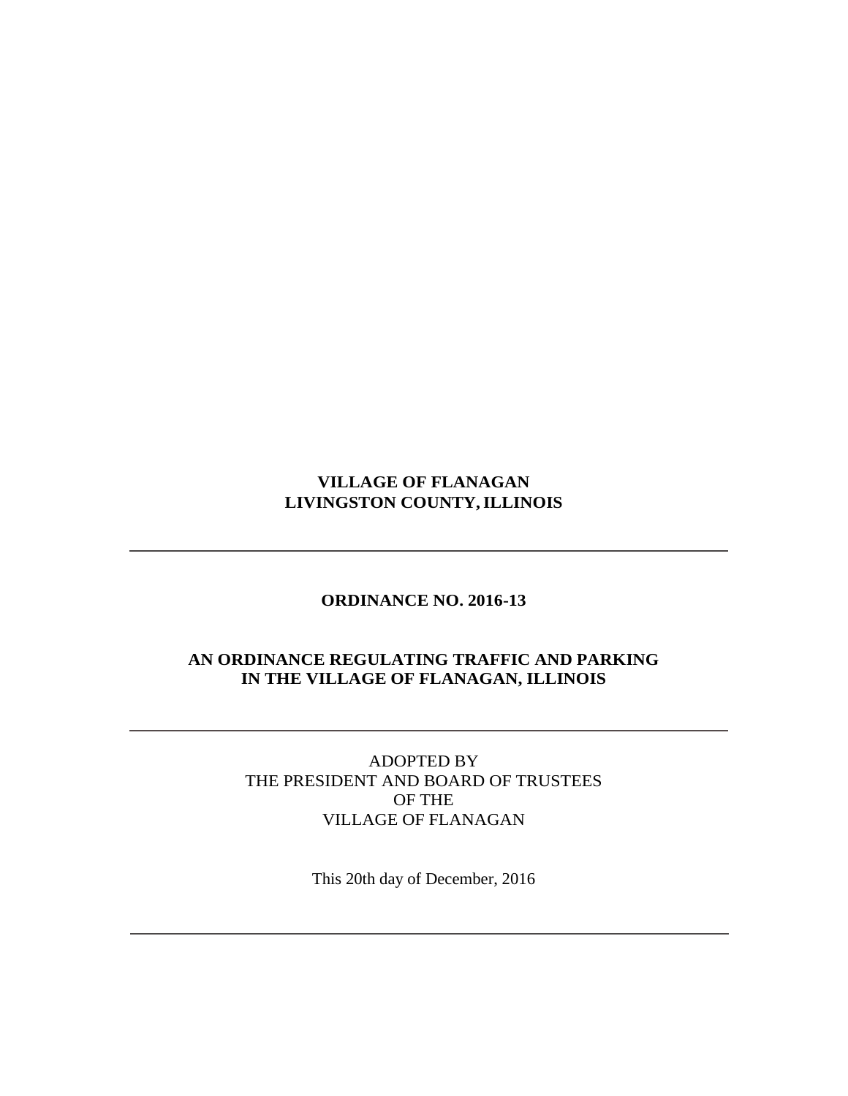# **VILLAGE OF FLANAGAN LIVINGSTON COUNTY,ILLINOIS**

### **ORDINANCE NO. 2016-13**

### **AN ORDINANCE REGULATING TRAFFIC AND PARKING IN THE VILLAGE OF FLANAGAN, ILLINOIS**

ADOPTED BY THE PRESIDENT AND BOARD OF TRUSTEES OF THE VILLAGE OF FLANAGAN

This 20th day of December, 2016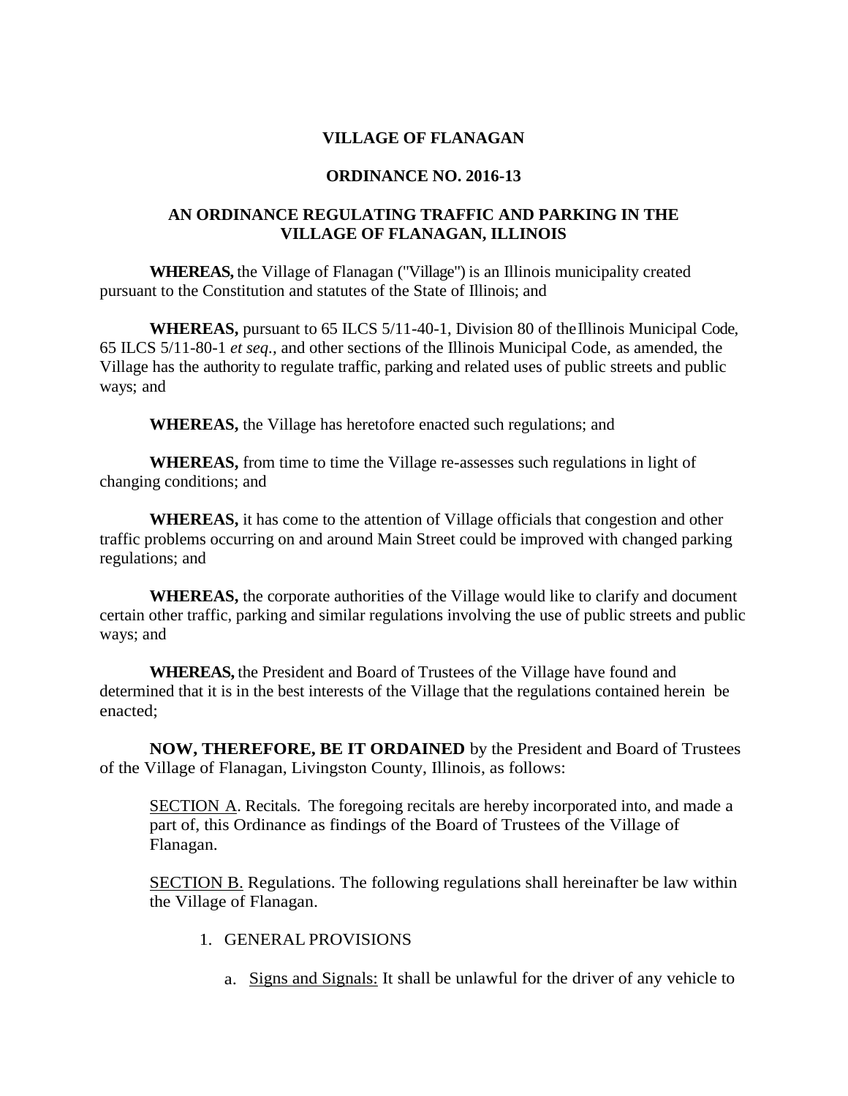#### **VILLAGE OF FLANAGAN**

#### **ORDINANCE NO. 2016-13**

### **AN ORDINANCE REGULATING TRAFFIC AND PARKING IN THE VILLAGE OF FLANAGAN, ILLINOIS**

**WHEREAS,** the Village of Flanagan ("Village") is an Illinois municipality created pursuant to the Constitution and statutes of the State of Illinois; and

**WHEREAS,** pursuant to 65 ILCS 5/11-40-1, Division 80 of theIllinois Municipal Code, 65 ILCS 5/11-80-1 *et seq.,* and other sections of the Illinois Municipal Code, as amended, the Village has the authority to regulate traffic, parking and related uses of public streets and public ways; and

**WHEREAS,** the Village has heretofore enacted such regulations; and

**WHEREAS,** from time to time the Village re-assesses such regulations in light of changing conditions; and

**WHEREAS,** it has come to the attention of Village officials that congestion and other traffic problems occurring on and around Main Street could be improved with changed parking regulations; and

**WHEREAS,** the corporate authorities of the Village would like to clarify and document certain other traffic, parking and similar regulations involving the use of public streets and public ways; and

**WHEREAS,** the President and Board of Trustees of the Village have found and determined that it is in the best interests of the Village that the regulations contained herein be enacted;

**NOW, THEREFORE, BE IT ORDAINED** by the President and Board of Trustees of the Village of Flanagan, Livingston County, Illinois, as follows:

SECTION A. Recitals. The foregoing recitals are hereby incorporated into, and made a part of, this Ordinance as findings of the Board of Trustees of the Village of Flanagan.

**SECTION B.** Regulations. The following regulations shall hereinafter be law within the Village of Flanagan.

- 1. GENERAL PROVISIONS
	- a. Signs and Signals: It shall be unlawful for the driver of any vehicle to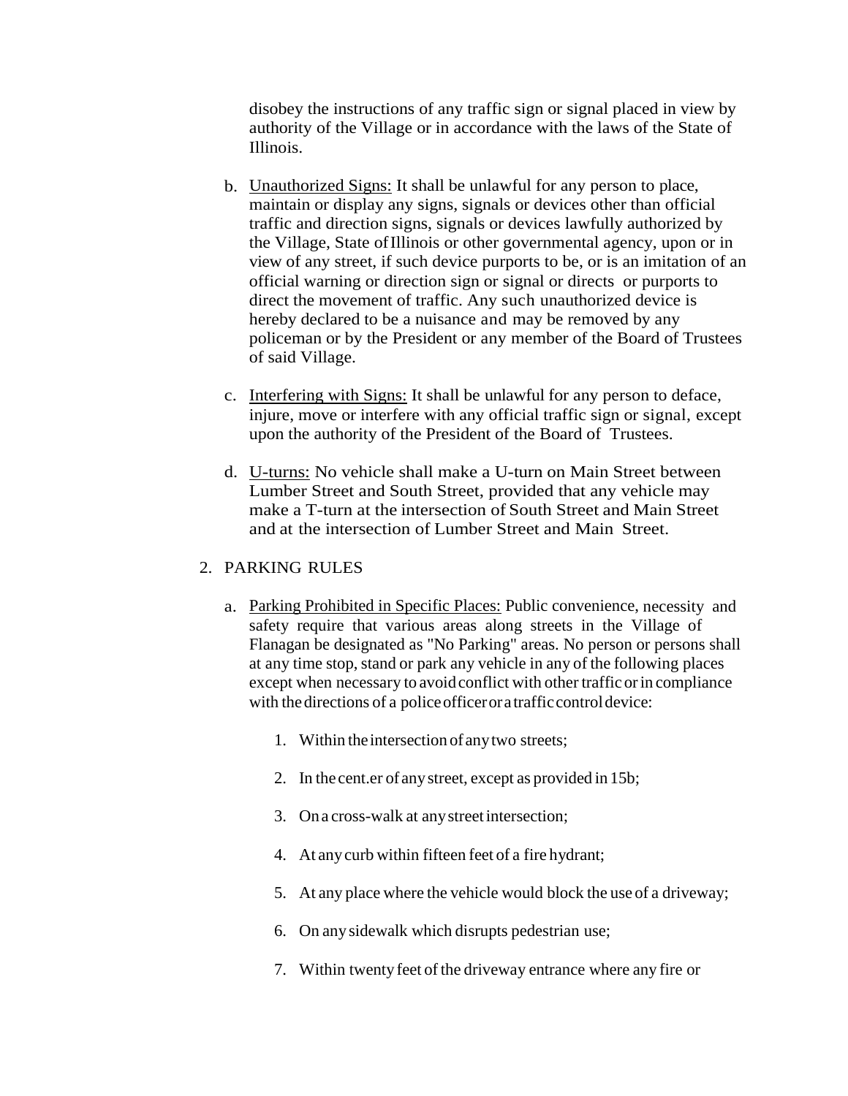disobey the instructions of any traffic sign or signal placed in view by authority of the Village or in accordance with the laws of the State of Illinois.

- b. Unauthorized Signs: It shall be unlawful for any person to place, maintain or display any signs, signals or devices other than official traffic and direction signs, signals or devices lawfully authorized by the Village, State ofIllinois or other governmental agency, upon or in view of any street, if such device purports to be, or is an imitation of an official warning or direction sign or signal or directs or purports to direct the movement of traffic. Any such unauthorized device is hereby declared to be a nuisance and may be removed by any policeman or by the President or any member of the Board of Trustees of said Village.
- c. Interfering with Signs: It shall be unlawful for any person to deface, injure, move or interfere with any official traffic sign or signal, except upon the authority of the President of the Board of Trustees.
- d. U-turns: No vehicle shall make a U-turn on Main Street between Lumber Street and South Street, provided that any vehicle may make a T-turn at the intersection of South Street and Main Street and at the intersection of Lumber Street and Main Street.

### 2. PARKING RULES

- a. Parking Prohibited in Specific Places: Public convenience, necessity and safety require that various areas along streets in the Village of Flanagan be designated as "No Parking" areas. No person or persons shall at any time stop, stand or park any vehicle in any of the following places except when necessary to avoid conflict with other traffic or in compliance with the directions of a police officer or a traffic control device:
	- 1. Within theintersection of anytwo streets;
	- 2. In the cent.er of anystreet, except as provided in 15b;
	- 3. Ona cross-walk at anystreetintersection;
	- 4. At anycurb within fifteen feet of a fire hydrant;
	- 5. At any place where the vehicle would block the use of a driveway;
	- 6. On any sidewalk which disrupts pedestrian use;
	- 7. Within twenty feet of the driveway entrance where any fire or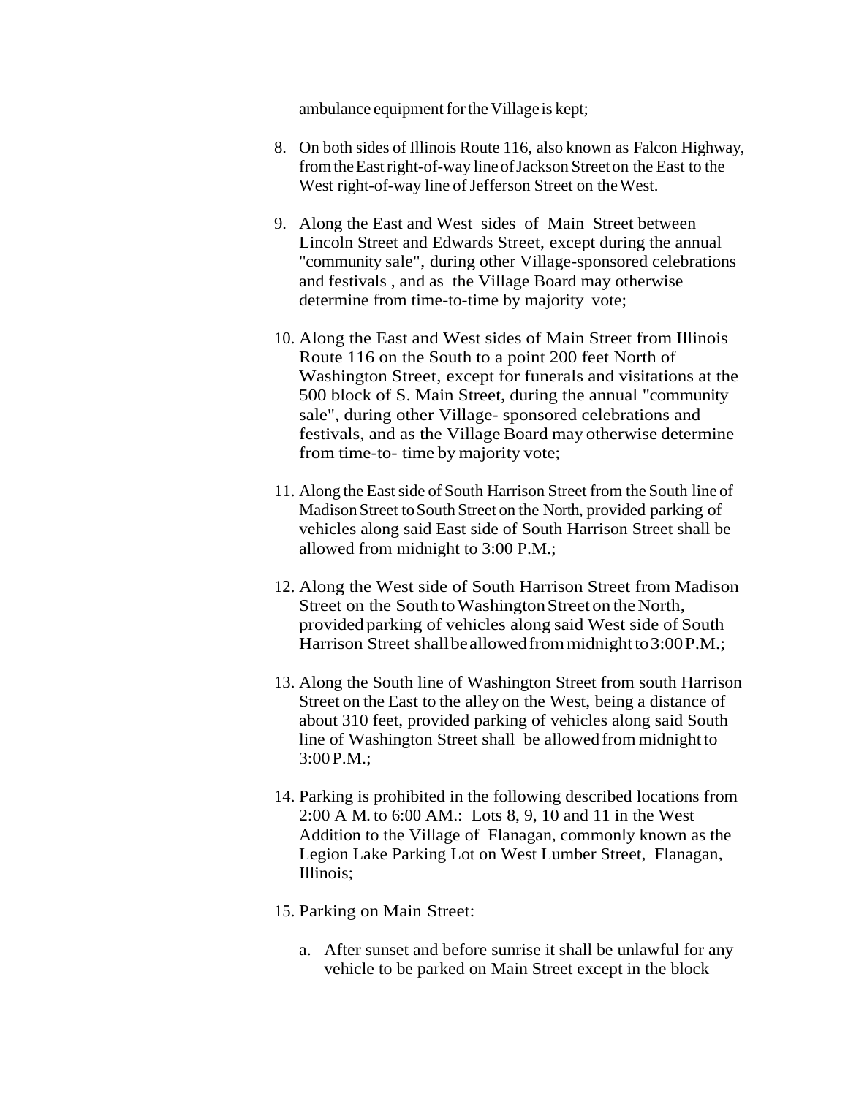ambulance equipment for the Village is kept;

- 8. On both sides of Illinois Route 116, also known as Falcon Highway, fromtheEastright-of-way lineofJackson Streeton the East to the West right-of-way line of Jefferson Street on the West.
- 9. Along the East and West sides of Main Street between Lincoln Street and Edwards Street, except during the annual "community sale", during other Village-sponsored celebrations and festivals , and as the Village Board may otherwise determine from time-to-time by majority vote;
- 10. Along the East and West sides of Main Street from Illinois Route 116 on the South to a point 200 feet North of Washington Street, except for funerals and visitations at the 500 block of S. Main Street, during the annual "community sale", during other Village- sponsored celebrations and festivals, and as the Village Board may otherwise determine from time-to- time by majority vote;
- 11. Along the East side of South Harrison Street from the South line of Madison Street to South Street on the North, provided parking of vehicles along said East side of South Harrison Street shall be allowed from midnight to 3:00 P.M.;
- 12. Along the West side of South Harrison Street from Madison Street on the South to Washington Street on the North, provided parking of vehicles along said West side of South Harrison Street shallbeallowed from midnight to 3:00 P.M.;
- 13. Along the South line of Washington Street from south Harrison Street on the East to the alley on the West, being a distance of about 310 feet, provided parking of vehicles along said South line of Washington Street shall be allowed from midnight to 3:00P.M.;
- 14. Parking is prohibited in the following described locations from 2:00 A M. to 6:00 AM.: Lots 8, 9, 10 and 11 in the West Addition to the Village of Flanagan, commonly known as the Legion Lake Parking Lot on West Lumber Street, Flanagan, Illinois;
- 15. Parking on Main Street:
	- a. After sunset and before sunrise it shall be unlawful for any vehicle to be parked on Main Street except in the block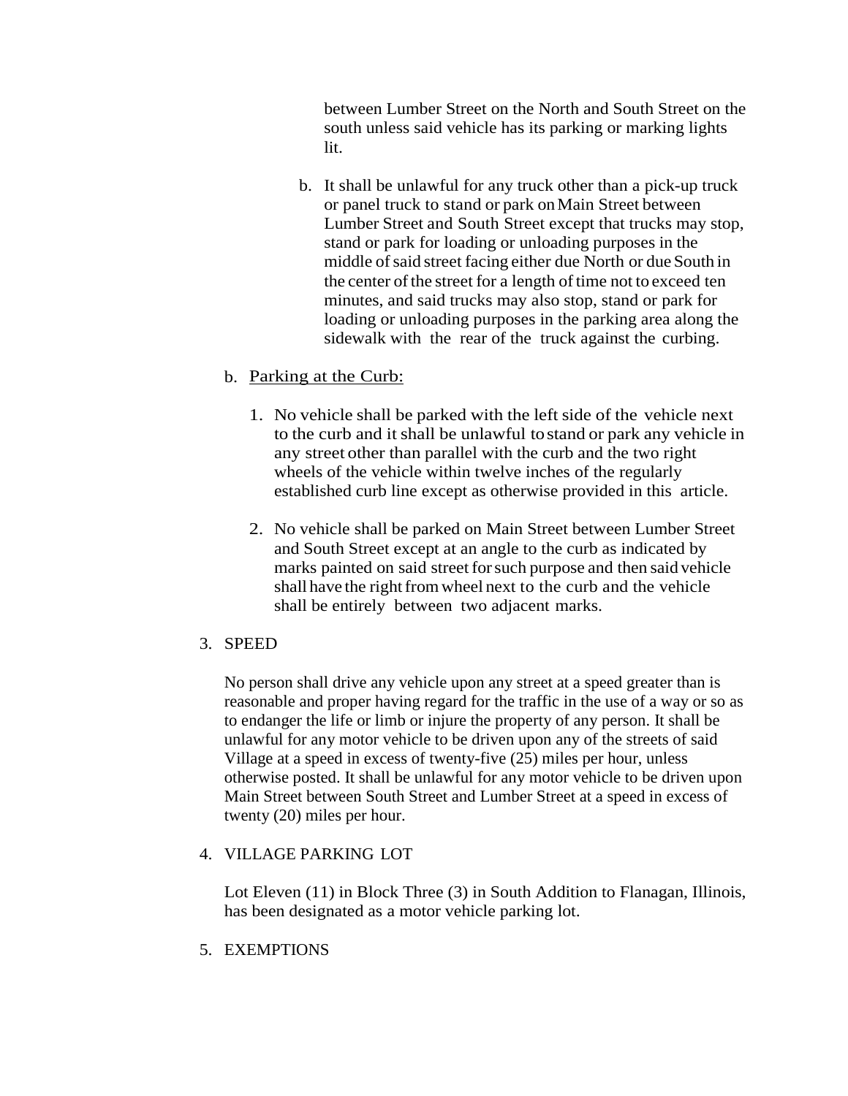between Lumber Street on the North and South Street on the south unless said vehicle has its parking or marking lights lit.

b. It shall be unlawful for any truck other than a pick-up truck or panel truck to stand or park onMain Street between Lumber Street and South Street except that trucks may stop, stand or park for loading or unloading purposes in the middle of said street facing either due North or due South in the center of the street for a length of time not to exceed ten minutes, and said trucks may also stop, stand or park for loading or unloading purposes in the parking area along the sidewalk with the rear of the truck against the curbing.

## b. Parking at the Curb:

- 1. No vehicle shall be parked with the left side of the vehicle next to the curb and it shall be unlawful tostand or park any vehicle in any street other than parallel with the curb and the two right wheels of the vehicle within twelve inches of the regularly established curb line except as otherwise provided in this article.
- 2. No vehicle shall be parked on Main Street between Lumber Street and South Street except at an angle to the curb as indicated by marks painted on said street for such purpose and then said vehicle shall have the right from wheel next to the curb and the vehicle shall be entirely between two adjacent marks.

### 3. SPEED

No person shall drive any vehicle upon any street at a speed greater than is reasonable and proper having regard for the traffic in the use of a way or so as to endanger the life or limb or injure the property of any person. It shall be unlawful for any motor vehicle to be driven upon any of the streets of said Village at a speed in excess of twenty-five (25) miles per hour, unless otherwise posted. It shall be unlawful for any motor vehicle to be driven upon Main Street between South Street and Lumber Street at a speed in excess of twenty (20) miles per hour.

### 4. VILLAGE PARKING LOT

Lot Eleven (11) in Block Three (3) in South Addition to Flanagan, Illinois, has been designated as a motor vehicle parking lot.

5. EXEMPTIONS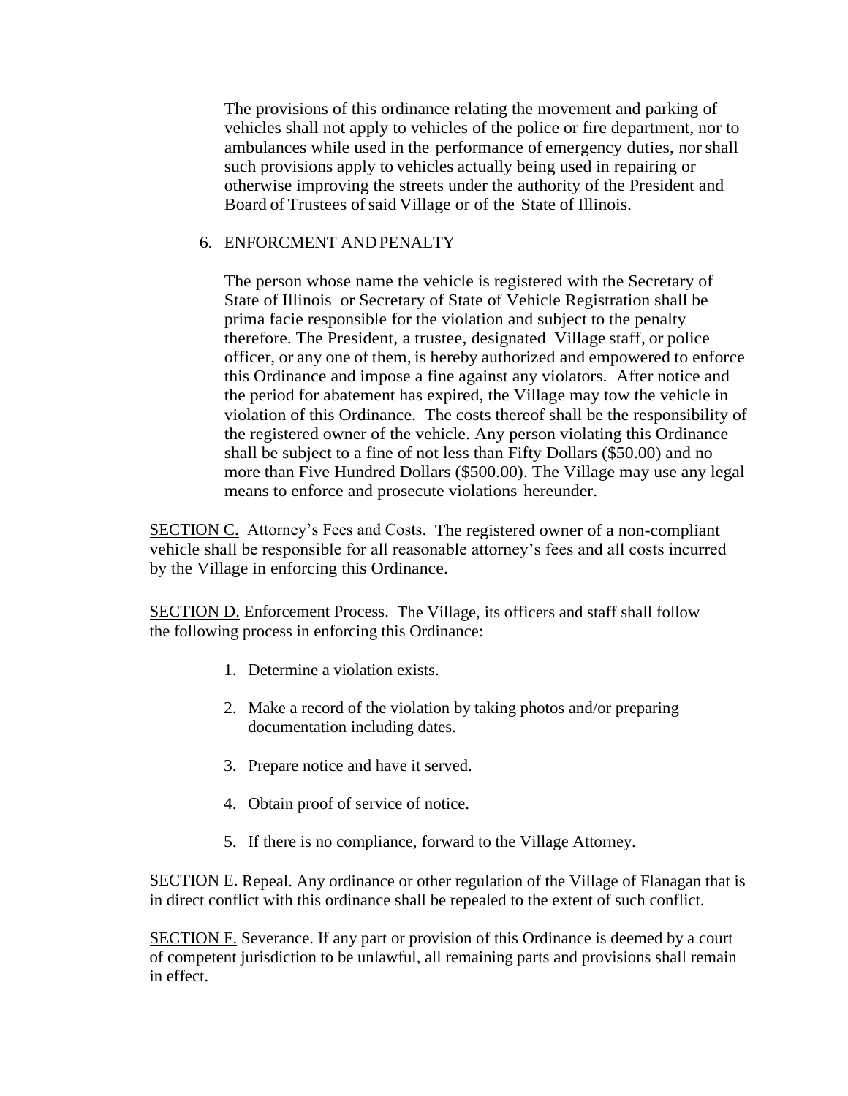The provisions of this ordinance relating the movement and parking of vehicles shall not apply to vehicles of the police or fire department, nor to ambulances while used in the performance of emergency duties, nor shall such provisions apply to vehicles actually being used in repairing or otherwise improving the streets under the authority of the President and Board of Trustees of said Village or of the State of Illinois.

#### 6. ENFORCMENT ANDPENALTY

The person whose name the vehicle is registered with the Secretary of State of Illinois or Secretary of State of Vehicle Registration shall be prima facie responsible for the violation and subject to the penalty therefore. The President, a trustee, designated Village staff, or police officer, or any one of them, is hereby authorized and empowered to enforce this Ordinance and impose a fine against any violators. After notice and the period for abatement has expired, the Village may tow the vehicle in violation of this Ordinance. The costs thereof shall be the responsibility of the registered owner of the vehicle. Any person violating this Ordinance shall be subject to a fine of not less than Fifty Dollars (\$50.00) and no more than Five Hundred Dollars (\$500.00). The Village may use any legal means to enforce and prosecute violations hereunder.

SECTION C. Attorney's Fees and Costs. The registered owner of a non-compliant vehicle shall be responsible for all reasonable attorney's fees and all costs incurred by the Village in enforcing this Ordinance.

SECTION D. Enforcement Process. The Village, its officers and staff shall follow the following process in enforcing this Ordinance:

- 1. Determine a violation exists.
- 2. Make a record of the violation by taking photos and/or preparing documentation including dates.
- 3. Prepare notice and have it served.
- 4. Obtain proof of service of notice.
- 5. If there is no compliance, forward to the Village Attorney.

**SECTION E.** Repeal. Any ordinance or other regulation of the Village of Flanagan that is in direct conflict with this ordinance shall be repealed to the extent of such conflict.

SECTION F. Severance. If any part or provision of this Ordinance is deemed by a court of competent jurisdiction to be unlawful, all remaining parts and provisions shall remain in effect.